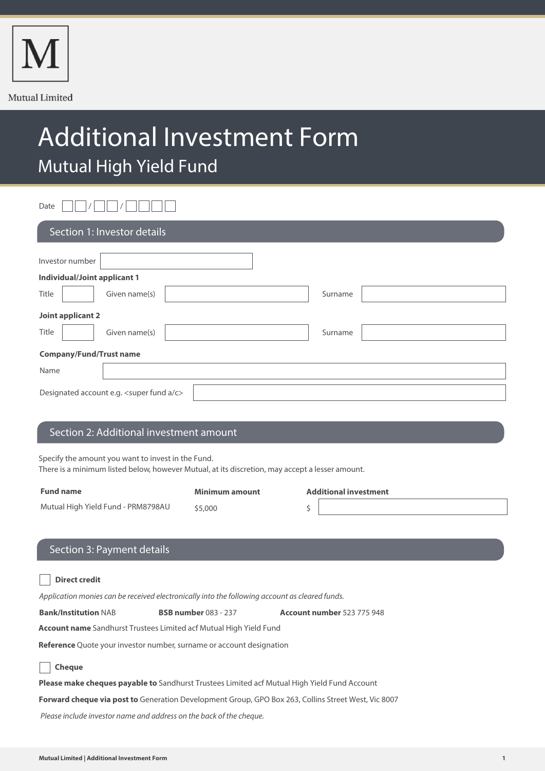

# Additional Investment Form Mutual High Yield Fund

Date  $\Box$  /  $\Box$  /  $\Box$   $\Box$   $\Box$ 

| Section 1: Investor details               |               |         |  |  |
|-------------------------------------------|---------------|---------|--|--|
| Investor number                           |               |         |  |  |
| <b>Individual/Joint applicant 1</b>       |               |         |  |  |
| Title                                     | Given name(s) | Surname |  |  |
| Joint applicant 2                         |               |         |  |  |
| Title                                     | Given name(s) | Surname |  |  |
| <b>Company/Fund/Trust name</b>            |               |         |  |  |
| Name                                      |               |         |  |  |
| Designated account e.g. < super fund a/c> |               |         |  |  |

# Section 2: Additional investment amount

Specify the amount you want to invest in the Fund.

There is a minimum listed below, however Mutual, at its discretion, may accept a lesser amount.

| <b>Fund name</b>                   | Minimum amount | <b>Additional investment</b> |
|------------------------------------|----------------|------------------------------|
| Mutual High Yield Fund - PRM8798AU | \$5,000        |                              |
|                                    |                |                              |

## Section 3: Payment details

| <b>Direct credit</b>                                                                                       |                             |                            |  |  |  |
|------------------------------------------------------------------------------------------------------------|-----------------------------|----------------------------|--|--|--|
| Application monies can be received electronically into the following account as cleared funds.             |                             |                            |  |  |  |
| <b>Bank/Institution NAB</b>                                                                                | <b>BSB number 083 - 237</b> | Account number 523 775 948 |  |  |  |
| <b>Account name</b> Sandhurst Trustees Limited acf Mutual High Yield Fund                                  |                             |                            |  |  |  |
| <b>Reference</b> Quote your investor number, surname or account designation                                |                             |                            |  |  |  |
| <b>Cheque</b>                                                                                              |                             |                            |  |  |  |
| <b>Please make cheques payable to</b> Sandhurst Trustees Limited acf Mutual High Yield Fund Account        |                             |                            |  |  |  |
| <b>Forward cheque via post to</b> Generation Development Group, GPO Box 263, Collins Street West, Vic 8007 |                             |                            |  |  |  |
| Please include investor name and address on the back of the cheque.                                        |                             |                            |  |  |  |
|                                                                                                            |                             |                            |  |  |  |